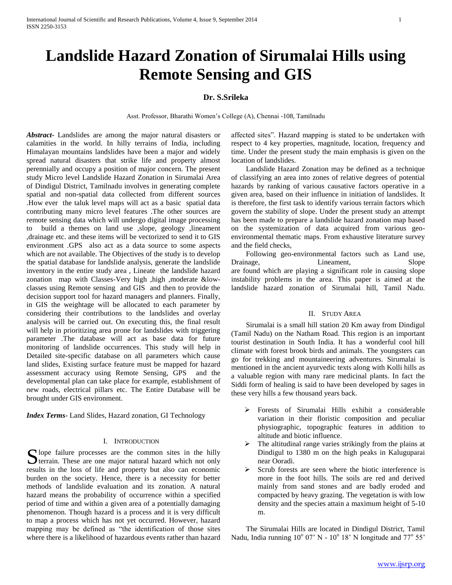# **Landslide Hazard Zonation of Sirumalai Hills using Remote Sensing and GIS**

# **Dr. S.Srileka**

Asst. Professor, Bharathi Women's College (A), Chennai -108, Tamilnadu

*Abstract***-** Landslides are among the major natural disasters or calamities in the world. In hilly terrains of India, including Himalayan mountains landslides have been a major and widely spread natural disasters that strike life and property almost perennially and occupy a position of major concern. The present study Micro level Landslide Hazard Zonation in Sirumalai Area of Dindigul District, Tamilnadu involves in generating complete spatial and non-spatial data collected from different sources .How ever the taluk level maps will act as a basic spatial data contributing many micro level features .The other sources are remote sensing data which will undergo digital image processing to build a themes on land use ,slope, geology ,lineament ,drainage etc. and these items will be vectorized to send it to GIS environment .GPS also act as a data source to some aspects which are not available. The Objectives of the study is to develop the spatial database for landslide analysis, generate the landslide inventory in the entire study area , Lineate the landslide hazard zonation map with Classes-Very high ,high ,moderate &lowclasses using Remote sensing and GIS and then to provide the decision support tool for hazard managers and planners. Finally, in GIS the weightage will be allocated to each parameter by considering their contributions to the landslides and overlay analysis will be carried out. On executing this, the final result will help in prioritizing area prone for landslides with triggering parameter .The database will act as base data for future monitoring of landslide occurrences. This study will help in Detailed site-specific database on all parameters which cause land slides, Existing surface feature must be mapped for hazard assessment accuracy using Remote Sensing, GPS and the developmental plan can take place for example, establishment of new roads, electrical pillars etc. The Entire Database will be brought under GIS environment.

*Index Terms*- Land Slides, Hazard zonation, GI Technology

#### I. INTRODUCTION

 $\bigcap$  lope failure processes are the common sites in the hilly S lope failure processes are the common sites in the hilly terrain. These are one major natural hazard which not only results in the loss of life and property but also can economic burden on the society. Hence, there is a necessity for better methods of landslide evaluation and its zonation. A natural hazard means the probability of occurrence within a specified period of time and within a given area of a potentially damaging phenomenon. Though hazard is a process and it is very difficult to map a process which has not yet occurred. However, hazard mapping may be defined as "the identification of those sites where there is a likelihood of hazardous events rather than hazard

affected sites". Hazard mapping is stated to be undertaken with respect to 4 key properties, magnitude, location, frequency and time. Under the present study the main emphasis is given on the location of landslides.

 Landslide Hazard Zonation may be defined as a technique of classifying an area into zones of relative degrees of potential hazards by ranking of various causative factors operative in a given area, based on their influence in initiation of landslides. It is therefore, the first task to identify various terrain factors which govern the stability of slope. Under the present study an attempt has been made to prepare a landslide hazard zonation map based on the systemization of data acquired from various geoenvironmental thematic maps. From exhaustive literature survey and the field checks,

 Following geo-environmental factors such as Land use, Drainage, Lineament, Slope are found which are playing a significant role in causing slope instability problems in the area. This paper is aimed at the landslide hazard zonation of Sirumalai hill, Tamil Nadu.

#### II. STUDY AREA

 Sirumalai is a small hill station 20 Km away from Dindigul (Tamil Nadu) on the Natham Road. This region is an important tourist destination in South India. It has a wonderful cool hill climate with forest brook birds and animals. The youngsters can go for trekking and mountaineering adventures. Sirumalai is mentioned in the ancient ayurvedic texts along with Kolli hills as a valuable region with many rare medicinal plants. In fact the Siddi form of healing is said to have been developed by sages in these very hills a few thousand years back.

- Forests of Sirumalai Hills exhibit a considerable variation in their floristic composition and peculiar physiographic, topographic features in addition to altitude and biotic influence.
- $\triangleright$  The altitudinal range varies strikingly from the plains at Dindigul to 1380 m on the high peaks in Kaluguparai near Ooradi.
- $\triangleright$  Scrub forests are seen where the biotic interference is more in the foot hills. The soils are red and derived mainly from sand stones and are badly eroded and compacted by heavy grazing. The vegetation is with low density and the species attain a maximum height of 5-10 m.

 The Sirumalai Hills are located in Dindigul District, Tamil Nadu, India running  $10^{\circ}$  07' N -  $10^{\circ}$  18' N longitude and 77 $^{\circ}$  55'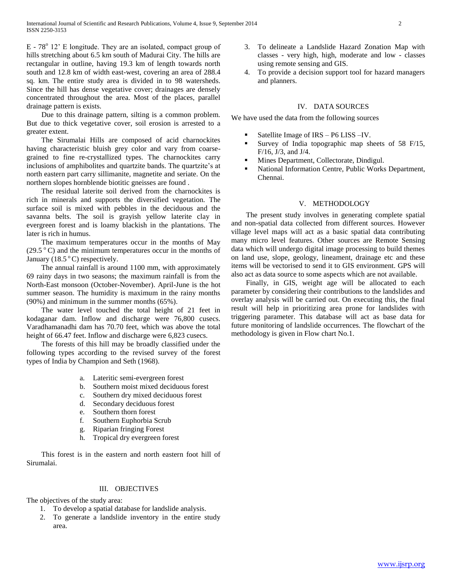$E - 78^{\circ}$  12' E longitude. They are an isolated, compact group of hills stretching about 6.5 km south of Madurai City. The hills are rectangular in outline, having 19.3 km of length towards north south and 12.8 km of width east-west, covering an area of 288.4 sq. km. The entire study area is divided in to 98 watersheds. Since the hill has dense vegetative cover; drainages are densely concentrated throughout the area. Most of the places, parallel drainage pattern is exists.

 Due to this drainage pattern, silting is a common problem. But due to thick vegetative cover, soil erosion is arrested to a greater extent.

 The Sirumalai Hills are composed of acid charnockites having characteristic bluish grey color and vary from coarsegrained to fine re-crystallized types. The charnockites carry inclusions of amphibolites and quartzite bands. The quartzite's at north eastern part carry sillimanite, magnetite and seriate. On the northern slopes hornblende biotitic gneisses are found .

 The residual laterite soil derived from the charnockites is rich in minerals and supports the diversified vegetation. The surface soil is mixed with pebbles in the deciduous and the savanna belts. The soil is grayish yellow laterite clay in evergreen forest and is loamy blackish in the plantations. The later is rich in humus.

 The maximum temperatures occur in the months of May  $(29.5 \degree C)$  and the minimum temperatures occur in the months of January (18.5 $\degree$ C) respectively.

 The annual rainfall is around 1100 mm, with approximately 69 rainy days in two seasons; the maximum rainfall is from the North-East monsoon (October-November). April-June is the hot summer season. The humidity is maximum in the rainy months (90%) and minimum in the summer months (65%).

 The water level touched the total height of 21 feet in kodaganar dam. Inflow and discharge were 76,800 cusecs. Varadhamanadhi dam has 70.70 feet, which was above the total height of 66.47 feet. Inflow and discharge were 6,823 cusecs.

 The forests of this hill may be broadly classified under the following types according to the revised survey of the forest types of India by Champion and Seth (1968).

- a. Lateritic semi-evergreen forest
- b. Southern moist mixed deciduous forest
- c. Southern dry mixed deciduous forest
- d. Secondary deciduous forest
- e. Southern thorn forest
- f. Southern Euphorbia Scrub
- g. Riparian fringing Forest
- h. Tropical dry evergreen forest

 This forest is in the eastern and north eastern foot hill of Sirumalai.

## III. OBJECTIVES

The objectives of the study area:

- 1. To develop a spatial database for landslide analysis.
- 2. To generate a landslide inventory in the entire study area.
- 3. To delineate a Landslide Hazard Zonation Map with classes - very high, high, moderate and low - classes using remote sensing and GIS.
- 4. To provide a decision support tool for hazard managers and planners.

## IV. DATA SOURCES

We have used the data from the following sources

- Satellite Image of IRS P6 LISS –IV.
- Survey of India topographic map sheets of 58 F/15, F/16, J/3, and J/4.
- Mines Department, Collectorate, Dindigul.
- National Information Centre, Public Works Department, Chennai.

## V. METHODOLOGY

 The present study involves in generating complete spatial and non-spatial data collected from different sources. However village level maps will act as a basic spatial data contributing many micro level features. Other sources are Remote Sensing data which will undergo digital image processing to build themes on land use, slope, geology, lineament, drainage etc and these items will be vectorised to send it to GIS environment. GPS will also act as data source to some aspects which are not available.

 Finally, in GIS, weight age will be allocated to each parameter by considering their contributions to the landslides and overlay analysis will be carried out. On executing this, the final result will help in prioritizing area prone for landslides with triggering parameter. This database will act as base data for future monitoring of landslide occurrences. The flowchart of the methodology is given in Flow chart No.1.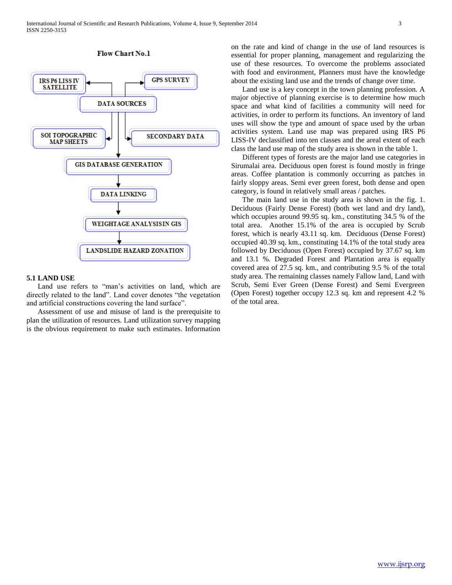

#### **Flow Chart No.1**

#### **5.1 LAND USE**

Land use refers to "man's activities on land, which are directly related to the land". Land cover denotes "the vegetation and artificial constructions covering the land surface".

Assessment of use and misuse of land is the prerequisite to plan the utilization of resources. Land utilization survey mapping is the obvious requirement to make such estimates. Information on the rate and kind of change in the use of land resources is essential for proper planning, management and regularizing the use of these resources. To overcome the problems associated with food and environment, Planners must have the knowledge about the existing land use and the trends of change over time.

Land use is a key concept in the town planning profession. A major objective of planning exercise is to determine how much space and what kind of facilities a community will need for activities, in order to perform its functions. An inventory of land uses will show the type and amount of space used by the urban activities system. Land use map was prepared using IRS P6 LISS-IV declassified into ten classes and the areal extent of each class the land use map of the study area is shown in the table 1.

Different types of forests are the major land use categories in Sirumalai area. Deciduous open forest is found mostly in fringe areas. Coffee plantation is commonly occurring as patches in fairly sloppy areas. Semi ever green forest, both dense and open category, is found in relatively small areas / patches.

The main land use in the study area is shown in the fig. 1. Deciduous (Fairly Dense Forest) (both wet land and dry land), which occupies around 99.95 sq. km., constituting 34.5 % of the total area. Another 15.1% of the area is occupied by Scrub forest, which is nearly 43.11 sq. km. Deciduous (Dense Forest) occupied 40.39 sq. km., constituting 14.1% of the total study area followed by Deciduous (Open Forest) occupied by 37.67 sq. km and 13.1 %. Degraded Forest and Plantation area is equally covered area of 27.5 sq. km., and contributing 9.5 % of the total study area. The remaining classes namely Fallow land, Land with Scrub, Semi Ever Green (Dense Forest) and Semi Evergreen (Open Forest) together occupy 12.3 sq. km and represent 4.2 % of the total area.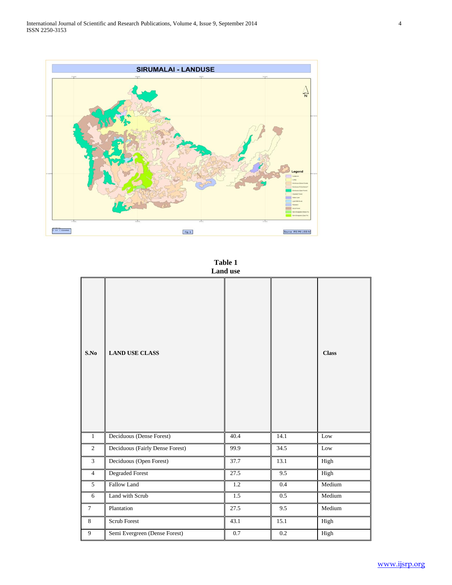International Journal of Scientific and Research Publications, Volume 4, Issue 9, September 2014 4 ISSN 2250-3153



**Table 1 Land use**

| S.No           | <b>LAND USE CLASS</b>           |      |         | <b>Class</b> |
|----------------|---------------------------------|------|---------|--------------|
| $1\,$          | Deciduous (Dense Forest)        | 40.4 | 14.1    | Low          |
| $\overline{2}$ | Deciduous (Fairly Dense Forest) | 99.9 | 34.5    | $_{\rm Low}$ |
| 3              | Deciduous (Open Forest)         | 37.7 | 13.1    | High         |
| $\overline{4}$ | Degraded Forest                 | 27.5 | 9.5     | High         |
| 5              | Fallow Land                     | 1.2  | 0.4     | Medium       |
| 6              | Land with Scrub                 | 1.5  | 0.5     | Medium       |
| $\tau$         | Plantation                      | 27.5 | 9.5     | Medium       |
| 8              | Scrub Forest                    | 43.1 | 15.1    | High         |
| 9              | Semi Evergreen (Dense Forest)   | 0.7  | $0.2\,$ | High         |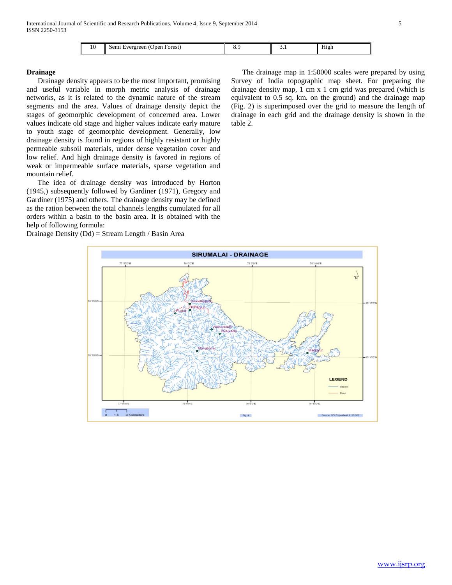| 10 | Forest)<br>Jpen<br>vergreen<br>.5 <sup>er</sup> |  | . | $- - -$<br>High |
|----|-------------------------------------------------|--|---|-----------------|
|----|-------------------------------------------------|--|---|-----------------|

## **Drainage**

 Drainage density appears to be the most important, promising and useful variable in morph metric analysis of drainage networks, as it is related to the dynamic nature of the stream segments and the area. Values of drainage density depict the stages of geomorphic development of concerned area. Lower values indicate old stage and higher values indicate early mature to youth stage of geomorphic development. Generally, low drainage density is found in regions of highly resistant or highly permeable subsoil materials, under dense vegetation cover and low relief. And high drainage density is favored in regions of weak or impermeable surface materials, sparse vegetation and mountain relief.

 The idea of drainage density was introduced by Horton (1945,) subsequently followed by Gardiner (1971), Gregory and Gardiner (1975) and others. The drainage density may be defined as the ration between the total channels lengths cumulated for all orders within a basin to the basin area. It is obtained with the help of following formula:

Drainage Density (Dd) = Stream Length / Basin Area

 The drainage map in 1:50000 scales were prepared by using Survey of India topographic map sheet. For preparing the drainage density map, 1 cm x 1 cm grid was prepared (which is equivalent to 0.5 sq. km. on the ground) and the drainage map (Fig. 2) is superimposed over the grid to measure the length of drainage in each grid and the drainage density is shown in the table 2.

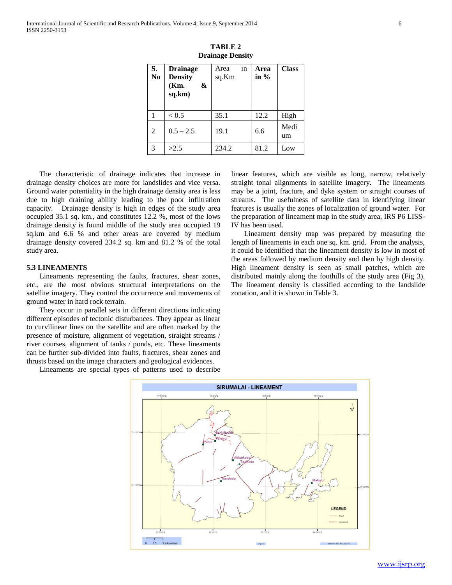| S.<br>N <sub>0</sub> | <b>Drainage</b><br><b>Density</b><br>(Km.<br>&<br>sq.km) | in<br>Area<br>sq.Km | Area<br>in $%$ | <b>Class</b> |
|----------------------|----------------------------------------------------------|---------------------|----------------|--------------|
|                      | < 0.5                                                    | 35.1                | 12.2           | High         |
| 2                    | $0.5 - 2.5$                                              | 19.1                | 6.6            | Medi<br>um   |
| 3                    | >2.5                                                     | 234.2               | 81.2           | Low          |

**TABLE 2 Drainage Density**

 The characteristic of drainage indicates that increase in drainage density choices are more for landslides and vice versa. Ground water potentiality in the high drainage density area is less due to high draining ability leading to the poor infiltration capacity. Drainage density is high in edges of the study area occupied 35.1 sq. km., and constitutes 12.2 %, most of the lows drainage density is found middle of the study area occupied 19 sq.km and 6.6 % and other areas are covered by medium drainage density covered 234.2 sq. km and 81.2 % of the total study area.

## **5.3 LINEAMENTS**

 Lineaments representing the faults, fractures, shear zones, etc., are the most obvious structural interpretations on the satellite imagery. They control the occurrence and movements of ground water in hard rock terrain.

 They occur in parallel sets in different directions indicating different episodes of tectonic disturbances. They appear as linear to curvilinear lines on the satellite and are often marked by the presence of moisture, alignment of vegetation, straight streams / river courses, alignment of tanks / ponds, etc. These lineaments can be further sub-divided into faults, fractures, shear zones and thrusts based on the image characters and geological evidences.

Lineaments are special types of patterns used to describe

linear features, which are visible as long, narrow, relatively straight tonal alignments in satellite imagery. The lineaments may be a joint, fracture, and dyke system or straight courses of streams. The usefulness of satellite data in identifying linear features is usually the zones of localization of ground water. For the preparation of lineament map in the study area, IRS P6 LISS-IV has been used.

 Lineament density map was prepared by measuring the length of lineaments in each one sq. km. grid. From the analysis, it could be identified that the lineament density is low in most of the areas followed by medium density and then by high density. High lineament density is seen as small patches, which are distributed mainly along the foothills of the study area (Fig 3). The lineament density is classified according to the landslide zonation, and it is shown in Table 3.

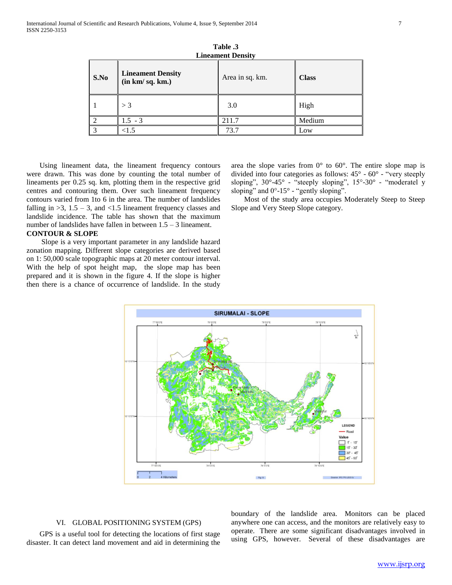| <b>Lineament Density</b> |                                             |                 |              |
|--------------------------|---------------------------------------------|-----------------|--------------|
| S.No                     | <b>Lineament Density</b><br>(in km/sq. km.) | Area in sq. km. | <b>Class</b> |
|                          | $>$ 3                                       | 3.0             | High         |
| $\overline{2}$           | $1.5 - 3$                                   | 211.7           | Medium       |
| 3                        | < 1.5                                       | 73.7            | Low          |

**Table .3**

 Using lineament data, the lineament frequency contours were drawn. This was done by counting the total number of lineaments per 0.25 sq. km, plotting them in the respective grid centres and contouring them. Over such lineament frequency contours varied from 1to 6 in the area. The number of landslides falling in  $>3$ ,  $1.5 - 3$ , and  $<1.5$  lineament frequency classes and landslide incidence. The table has shown that the maximum number of landslides have fallen in between 1.5 – 3 lineament.

## **CONTOUR & SLOPE**

Slope is a very important parameter in any landslide hazard zonation mapping. Different slope categories are derived based on 1: 50,000 scale topographic maps at 20 meter contour interval. With the help of spot height map, the slope map has been prepared and it is shown in the figure 4. If the slope is higher then there is a chance of occurrence of landslide. In the study

area the slope varies from  $0^{\circ}$  to  $60^{\circ}$ . The entire slope map is divided into four categories as follows: 45° - 60° - "very steeply sloping", 30°-45° - "steeply sloping", 15°-30° - "moderatel y sloping" and 0°-15° - "gently sloping".

 Most of the study area occupies Moderately Steep to Steep Slope and Very Steep Slope category.



## VI. GLOBAL POSITIONING SYSTEM (GPS)

 GPS is a useful tool for detecting the locations of first stage disaster. It can detect land movement and aid in determining the boundary of the landslide area. Monitors can be placed anywhere one can access, and the monitors are relatively easy to operate. There are some significant disadvantages involved in using GPS, however. Several of these disadvantages are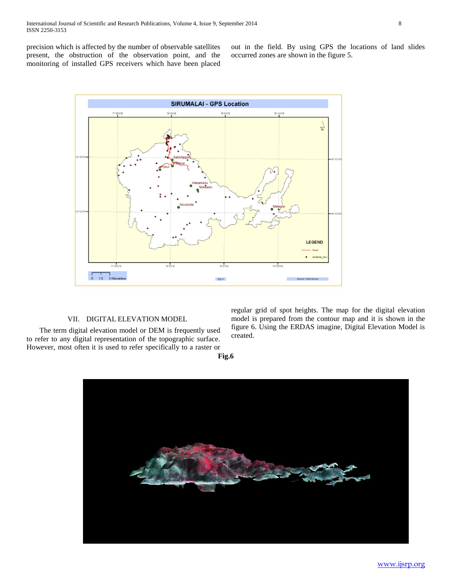precision which is affected by the number of observable satellites present, the obstruction of the observation point, and the monitoring of installed GPS receivers which have been placed out in the field. By using GPS the locations of land slides occurred zones are shown in the figure 5.



## VII. DIGITAL ELEVATION MODEL

The term digital elevation model or DEM is frequently used to refer to any digital representation of the topographic surface. However, most often it is used to refer specifically to a raster or regular grid of spot heights. The map for the digital elevation model is prepared from the contour map and it is shown in the figure 6. Using the ERDAS imagine, Digital Elevation Model is created.

**Fig.6**

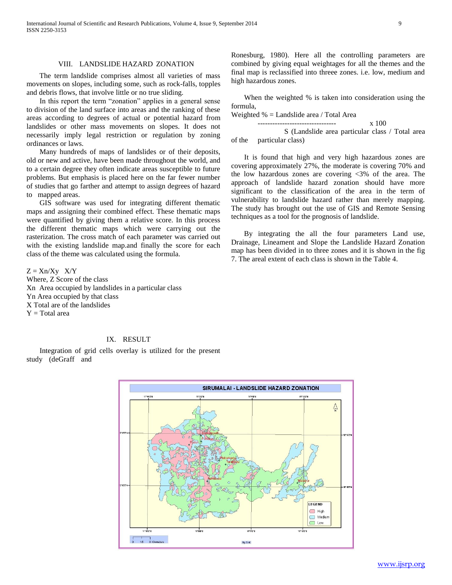#### VIII. LANDSLIDE HAZARD ZONATION

The term landslide comprises almost all varieties of mass movements on slopes, including some, such as rock-falls, topples and debris flows, that involve little or no true sliding.

In this report the term "zonation" applies in a general sense to division of the land surface into areas and the ranking of these areas according to degrees of actual or potential hazard from landslides or other mass movements on slopes. It does not necessarily imply legal restriction or regulation by zoning ordinances or laws.

Many hundreds of maps of landslides or of their deposits, old or new and active, have been made throughout the world, and to a certain degree they often indicate areas susceptible to future problems. But emphasis is placed here on the far fewer number of studies that go farther and attempt to assign degrees of hazard to mapped areas.

GIS software was used for integrating different thematic maps and assigning their combined effect. These thematic maps were quantified by giving them a relative score. In this process the different thematic maps which were carrying out the rasterization. The cross match of each parameter was carried out with the existing landslide map.and finally the score for each class of the theme was calculated using the formula.

 $Z = Xn/Xy$   $X/Y$ Where, Z Score of the class Xn Area occupied by landslides in a particular class Yn Area occupied by that class X Total are of the landslides  $Y = Total area$ 

## IX. RESULT

Integration of grid cells overlay is utilized for the present study (deGraff and

Ronesburg, 1980). Here all the controlling parameters are combined by giving equal weightages for all the themes and the final map is reclassified into threee zones. i.e. low, medium and high hazardous zones.

When the weighted % is taken into consideration using the formula,

Weighted % = Landslide area / Total Area

-------------------------------- x 100 S (Landslide area particular class / Total area of the particular class)

It is found that high and very high hazardous zones are covering approximately 27%, the moderate is covering 70% and the low hazardous zones are covering <3% of the area. The approach of landslide hazard zonation should have more significant to the classification of the area in the term of vulnerability to landslide hazard rather than merely mapping. The study has brought out the use of GIS and Remote Sensing techniques as a tool for the prognosis of landslide.

By integrating the all the four parameters Land use, Drainage, Lineament and Slope the Landslide Hazard Zonation map has been divided in to three zones and it is shown in the fig 7. The areal extent of each class is shown in the Table 4.